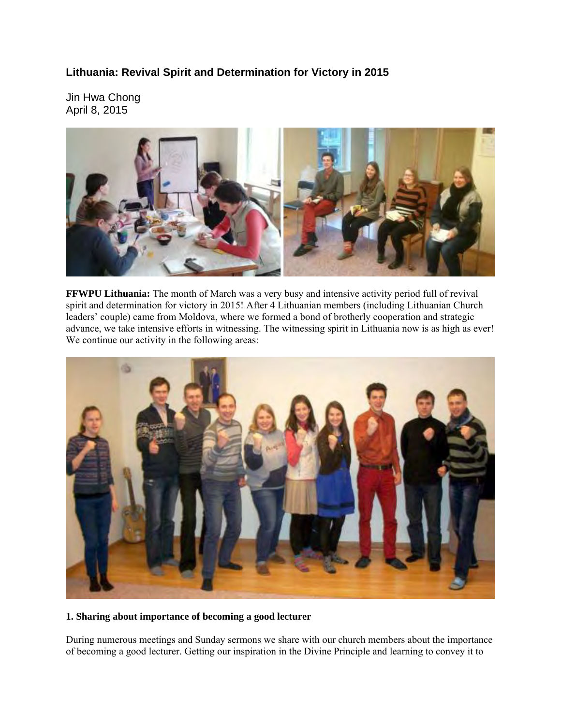# **Lithuania: Revival Spirit and Determination for Victory in 2015**

Jin Hwa Chong April 8, 2015



**FFWPU Lithuania:** The month of March was a very busy and intensive activity period full of revival spirit and determination for victory in 2015! After 4 Lithuanian members (including Lithuanian Church leaders' couple) came from Moldova, where we formed a bond of brotherly cooperation and strategic advance, we take intensive efforts in witnessing. The witnessing spirit in Lithuania now is as high as ever! We continue our activity in the following areas:



### **1. Sharing about importance of becoming a good lecturer**

During numerous meetings and Sunday sermons we share with our church members about the importance of becoming a good lecturer. Getting our inspiration in the Divine Principle and learning to convey it to